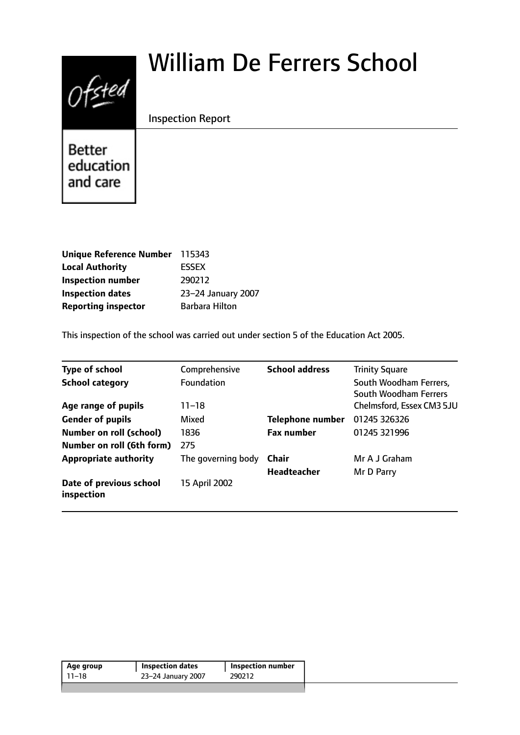# William De Ferrers School



Inspection Report

Better education and care

| Unique Reference Number 115343 |                    |
|--------------------------------|--------------------|
| <b>Local Authority</b>         | <b>ESSEX</b>       |
| <b>Inspection number</b>       | 290212             |
| <b>Inspection dates</b>        | 23-24 January 2007 |
| <b>Reporting inspector</b>     | Barbara Hilton     |

This inspection of the school was carried out under section 5 of the Education Act 2005.

| <b>Type of school</b>                 | Comprehensive      | <b>School address</b>   | <b>Trinity Square</b>                           |
|---------------------------------------|--------------------|-------------------------|-------------------------------------------------|
| <b>School category</b>                | <b>Foundation</b>  |                         | South Woodham Ferrers,<br>South Woodham Ferrers |
| Age range of pupils                   | $11 - 18$          |                         | Chelmsford, Essex CM3 5JU                       |
| <b>Gender of pupils</b>               | Mixed              | <b>Telephone number</b> | 01245 326326                                    |
| <b>Number on roll (school)</b>        | 1836               | <b>Fax number</b>       | 01245 321996                                    |
| Number on roll (6th form)             | 275                |                         |                                                 |
| <b>Appropriate authority</b>          | The governing body | <b>Chair</b>            | Mr A J Graham                                   |
|                                       |                    | <b>Headteacher</b>      | Mr D Parry                                      |
| Date of previous school<br>inspection | 15 April 2002      |                         |                                                 |

| Age group | <b>Inspection dates</b> | <b>Inspection number</b> |
|-----------|-------------------------|--------------------------|
| 11–18     | 23-24 January 2007      | 290212                   |
|           |                         |                          |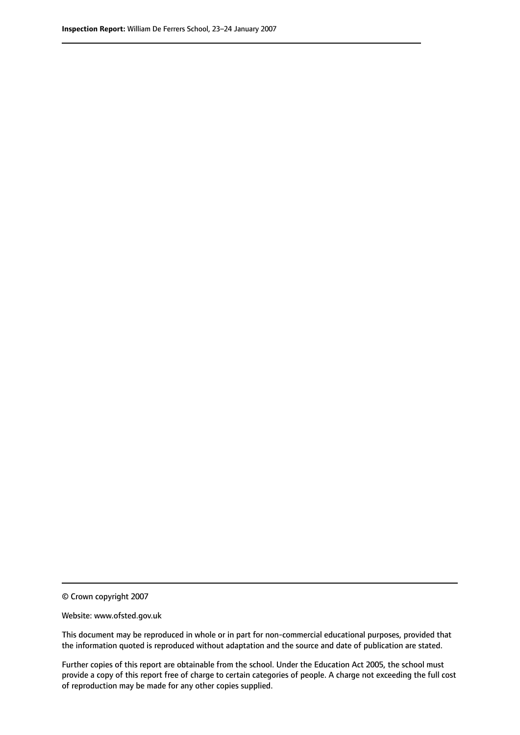© Crown copyright 2007

Website: www.ofsted.gov.uk

This document may be reproduced in whole or in part for non-commercial educational purposes, provided that the information quoted is reproduced without adaptation and the source and date of publication are stated.

Further copies of this report are obtainable from the school. Under the Education Act 2005, the school must provide a copy of this report free of charge to certain categories of people. A charge not exceeding the full cost of reproduction may be made for any other copies supplied.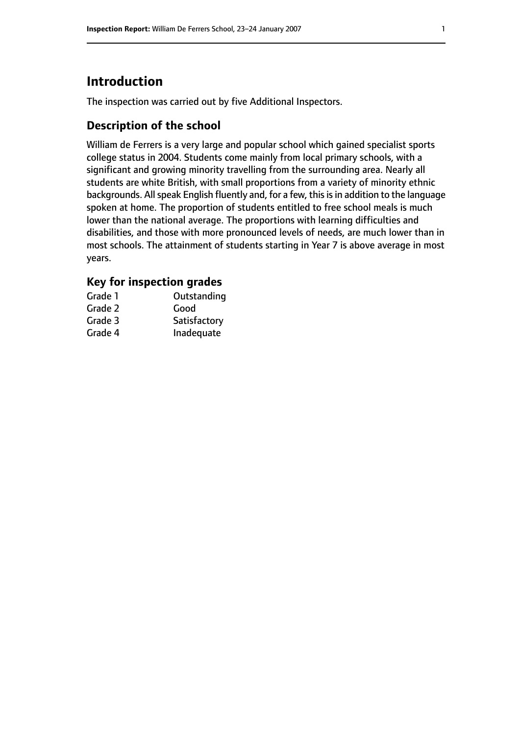# **Introduction**

The inspection was carried out by five Additional Inspectors.

## **Description of the school**

William de Ferrers is a very large and popular school which gained specialist sports college status in 2004. Students come mainly from local primary schools, with a significant and growing minority travelling from the surrounding area. Nearly all students are white British, with small proportions from a variety of minority ethnic backgrounds. All speak English fluently and, for a few, this is in addition to the language spoken at home. The proportion of students entitled to free school meals is much lower than the national average. The proportions with learning difficulties and disabilities, and those with more pronounced levels of needs, are much lower than in most schools. The attainment of students starting in Year 7 is above average in most years.

#### **Key for inspection grades**

| Grade 1 | Outstanding  |
|---------|--------------|
| Grade 2 | Good         |
| Grade 3 | Satisfactory |
| Grade 4 | Inadequate   |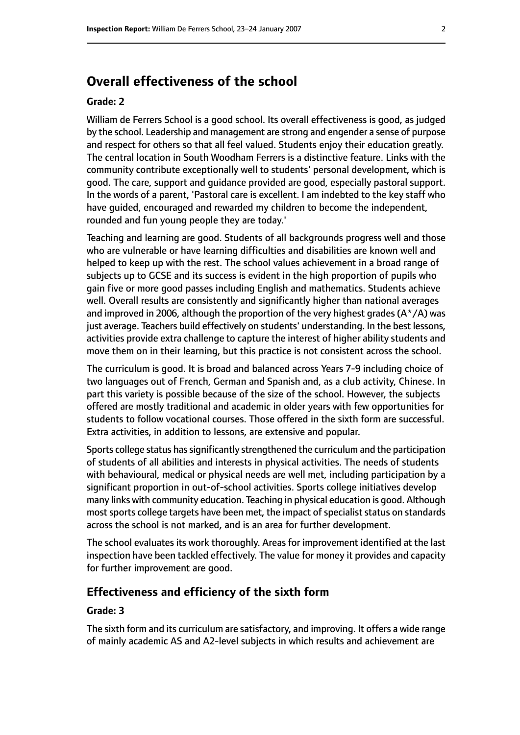# **Overall effectiveness of the school**

#### **Grade: 2**

William de Ferrers School is a good school. Its overall effectiveness is good, as judged by the school. Leadership and management are strong and engender a sense of purpose and respect for others so that all feel valued. Students enjoy their education greatly. The central location in South Woodham Ferrers is a distinctive feature. Links with the community contribute exceptionally well to students' personal development, which is good. The care, support and guidance provided are good, especially pastoral support. In the words of a parent, 'Pastoral care is excellent. I am indebted to the key staff who have guided, encouraged and rewarded my children to become the independent, rounded and fun young people they are today.'

Teaching and learning are good. Students of all backgrounds progress well and those who are vulnerable or have learning difficulties and disabilities are known well and helped to keep up with the rest. The school values achievement in a broad range of subjects up to GCSE and its success is evident in the high proportion of pupils who gain five or more good passes including English and mathematics. Students achieve well. Overall results are consistently and significantly higher than national averages and improved in 2006, although the proportion of the very highest grades ( $A^*/A$ ) was just average. Teachers build effectively on students' understanding. In the best lessons, activities provide extra challenge to capture the interest of higher ability students and move them on in their learning, but this practice is not consistent across the school.

The curriculum is good. It is broad and balanced across Years 7-9 including choice of two languages out of French, German and Spanish and, as a club activity, Chinese. In part this variety is possible because of the size of the school. However, the subjects offered are mostly traditional and academic in older years with few opportunities for students to follow vocational courses. Those offered in the sixth form are successful. Extra activities, in addition to lessons, are extensive and popular.

Sports college status has significantly strengthened the curriculum and the participation of students of all abilities and interests in physical activities. The needs of students with behavioural, medical or physical needs are well met, including participation by a significant proportion in out-of-school activities. Sports college initiatives develop many links with community education. Teaching in physical education is good. Although most sports college targets have been met, the impact of specialist status on standards across the school is not marked, and is an area for further development.

The school evaluates its work thoroughly. Areas for improvement identified at the last inspection have been tackled effectively. The value for money it provides and capacity for further improvement are good.

#### **Effectiveness and efficiency of the sixth form**

#### **Grade: 3**

The sixth form and its curriculum are satisfactory, and improving. It offers a wide range of mainly academic AS and A2-level subjects in which results and achievement are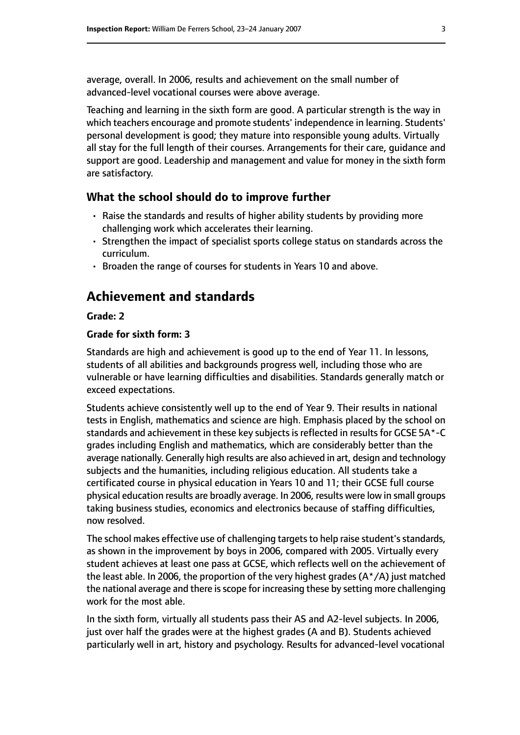average, overall. In 2006, results and achievement on the small number of advanced-level vocational courses were above average.

Teaching and learning in the sixth form are good. A particular strength is the way in which teachers encourage and promote students' independence in learning. Students' personal development is good; they mature into responsible young adults. Virtually all stay for the full length of their courses. Arrangements for their care, guidance and support are good. Leadership and management and value for money in the sixth form are satisfactory.

#### **What the school should do to improve further**

- Raise the standards and results of higher ability students by providing more challenging work which accelerates their learning.
- Strengthen the impact of specialist sports college status on standards across the curriculum.
- Broaden the range of courses for students in Years 10 and above.

# **Achievement and standards**

#### **Grade: 2**

#### **Grade for sixth form: 3**

Standards are high and achievement is good up to the end of Year 11. In lessons, students of all abilities and backgrounds progress well, including those who are vulnerable or have learning difficulties and disabilities. Standards generally match or exceed expectations.

Students achieve consistently well up to the end of Year 9. Their results in national tests in English, mathematics and science are high. Emphasis placed by the school on standards and achievement in these key subjects is reflected in results for GCSE 5A\*-C grades including English and mathematics, which are considerably better than the average nationally. Generally high results are also achieved in art, design and technology subjects and the humanities, including religious education. All students take a certificated course in physical education in Years 10 and 11; their GCSE full course physical education results are broadly average. In 2006, results were low in small groups taking business studies, economics and electronics because of staffing difficulties, now resolved.

The school makes effective use of challenging targets to help raise student's standards, as shown in the improvement by boys in 2006, compared with 2005. Virtually every student achieves at least one pass at GCSE, which reflects well on the achievement of the least able. In 2006, the proportion of the very highest grades (A\*/A) just matched the national average and there is scope for increasing these by setting more challenging work for the most able.

In the sixth form, virtually all students pass their AS and A2-level subjects. In 2006, just over half the grades were at the highest grades (A and B). Students achieved particularly well in art, history and psychology. Results for advanced-level vocational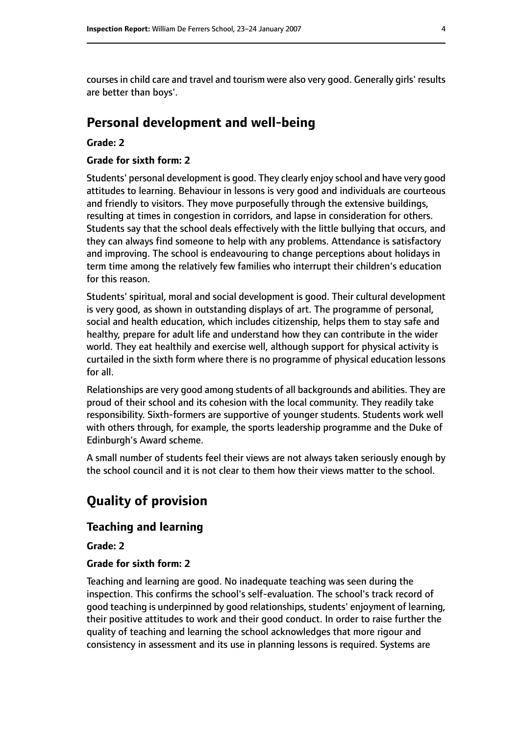courses in child care and travel and tourism were also very good. Generally girls' results are better than boys'.

# **Personal development and well-being**

#### **Grade: 2**

#### **Grade for sixth form: 2**

Students' personal development is good. They clearly enjoy school and have very good attitudes to learning. Behaviour in lessons is very good and individuals are courteous and friendly to visitors. They move purposefully through the extensive buildings, resulting at times in congestion in corridors, and lapse in consideration for others. Students say that the school deals effectively with the little bullying that occurs, and they can always find someone to help with any problems. Attendance is satisfactory and improving. The school is endeavouring to change perceptions about holidays in term time among the relatively few families who interrupt their children's education for this reason.

Students' spiritual, moral and social development is good. Their cultural development is very good, as shown in outstanding displays of art. The programme of personal, social and health education, which includes citizenship, helps them to stay safe and healthy, prepare for adult life and understand how they can contribute in the wider world. They eat healthily and exercise well, although support for physical activity is curtailed in the sixth form where there is no programme of physical education lessons for all.

Relationships are very good among students of all backgrounds and abilities. They are proud of their school and its cohesion with the local community. They readily take responsibility. Sixth-formers are supportive of younger students. Students work well with others through, for example, the sports leadership programme and the Duke of Edinburgh's Award scheme.

A small number of students feel their views are not always taken seriously enough by the school council and it is not clear to them how their views matter to the school.

# **Quality of provision**

#### **Teaching and learning**

**Grade: 2**

#### **Grade for sixth form: 2**

Teaching and learning are good. No inadequate teaching was seen during the inspection. This confirms the school's self-evaluation. The school's track record of good teaching is underpinned by good relationships, students' enjoyment of learning, their positive attitudes to work and their good conduct. In order to raise further the quality of teaching and learning the school acknowledges that more rigour and consistency in assessment and its use in planning lessons is required. Systems are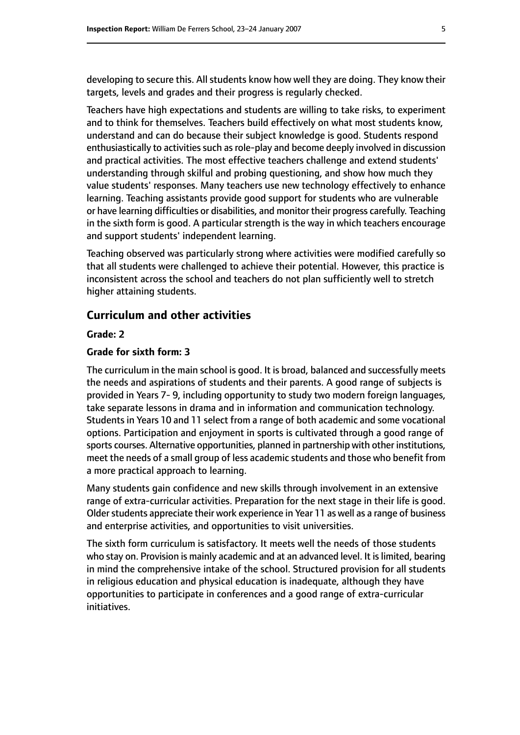developing to secure this. All students know how well they are doing. They know their targets, levels and grades and their progress is regularly checked.

Teachers have high expectations and students are willing to take risks, to experiment and to think for themselves. Teachers build effectively on what most students know, understand and can do because their subject knowledge is good. Students respond enthusiastically to activities such as role-play and become deeply involved in discussion and practical activities. The most effective teachers challenge and extend students' understanding through skilful and probing questioning, and show how much they value students' responses. Many teachers use new technology effectively to enhance learning. Teaching assistants provide good support for students who are vulnerable or have learning difficulties or disabilities, and monitor their progress carefully. Teaching in the sixth form is good. A particular strength is the way in which teachers encourage and support students' independent learning.

Teaching observed was particularly strong where activities were modified carefully so that all students were challenged to achieve their potential. However, this practice is inconsistent across the school and teachers do not plan sufficiently well to stretch higher attaining students.

#### **Curriculum and other activities**

#### **Grade: 2**

#### **Grade for sixth form: 3**

The curriculum in the main school is good. It is broad, balanced and successfully meets the needs and aspirations of students and their parents. A good range of subjects is provided in Years 7- 9, including opportunity to study two modern foreign languages, take separate lessons in drama and in information and communication technology. Students in Years 10 and 11 select from a range of both academic and some vocational options. Participation and enjoyment in sports is cultivated through a good range of sports courses. Alternative opportunities, planned in partnership with other institutions, meet the needs of a small group of less academic students and those who benefit from a more practical approach to learning.

Many students gain confidence and new skills through involvement in an extensive range of extra-curricular activities. Preparation for the next stage in their life is good. Older students appreciate their work experience in Year 11 as well as a range of business and enterprise activities, and opportunities to visit universities.

The sixth form curriculum is satisfactory. It meets well the needs of those students who stay on. Provision is mainly academic and at an advanced level. It is limited, bearing in mind the comprehensive intake of the school. Structured provision for all students in religious education and physical education is inadequate, although they have opportunities to participate in conferences and a good range of extra-curricular initiatives.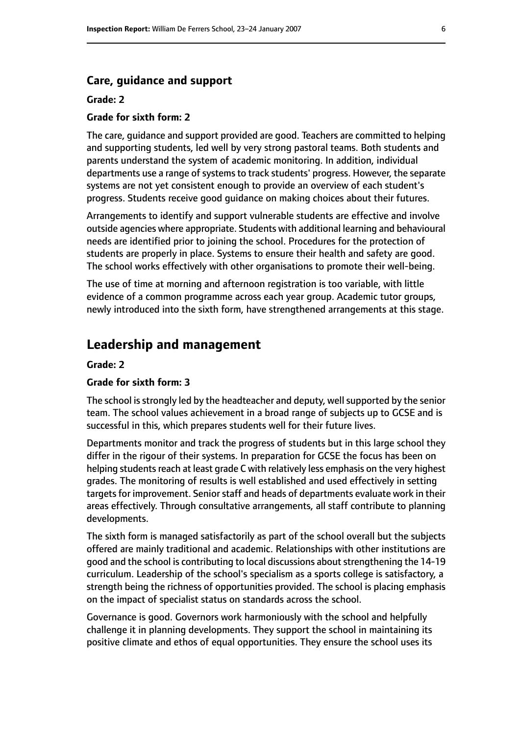#### **Care, guidance and support**

#### **Grade: 2**

#### **Grade for sixth form: 2**

The care, guidance and support provided are good. Teachers are committed to helping and supporting students, led well by very strong pastoral teams. Both students and parents understand the system of academic monitoring. In addition, individual departments use a range of systems to track students' progress. However, the separate systems are not yet consistent enough to provide an overview of each student's progress. Students receive good guidance on making choices about their futures.

Arrangements to identify and support vulnerable students are effective and involve outside agencies where appropriate. Students with additional learning and behavioural needs are identified prior to joining the school. Procedures for the protection of students are properly in place. Systems to ensure their health and safety are good. The school works effectively with other organisations to promote their well-being.

The use of time at morning and afternoon registration is too variable, with little evidence of a common programme across each year group. Academic tutor groups, newly introduced into the sixth form, have strengthened arrangements at this stage.

# **Leadership and management**

#### **Grade: 2**

#### **Grade for sixth form: 3**

The school is strongly led by the headteacher and deputy, well supported by the senior team. The school values achievement in a broad range of subjects up to GCSE and is successful in this, which prepares students well for their future lives.

Departments monitor and track the progress of students but in this large school they differ in the rigour of their systems. In preparation for GCSE the focus has been on helping students reach at least grade C with relatively less emphasis on the very highest grades. The monitoring of results is well established and used effectively in setting targets for improvement. Senior staff and heads of departments evaluate work in their areas effectively. Through consultative arrangements, all staff contribute to planning developments.

The sixth form is managed satisfactorily as part of the school overall but the subjects offered are mainly traditional and academic. Relationships with other institutions are good and the school is contributing to local discussions about strengthening the 14-19 curriculum. Leadership of the school's specialism as a sports college is satisfactory, a strength being the richness of opportunities provided. The school is placing emphasis on the impact of specialist status on standards across the school.

Governance is good. Governors work harmoniously with the school and helpfully challenge it in planning developments. They support the school in maintaining its positive climate and ethos of equal opportunities. They ensure the school uses its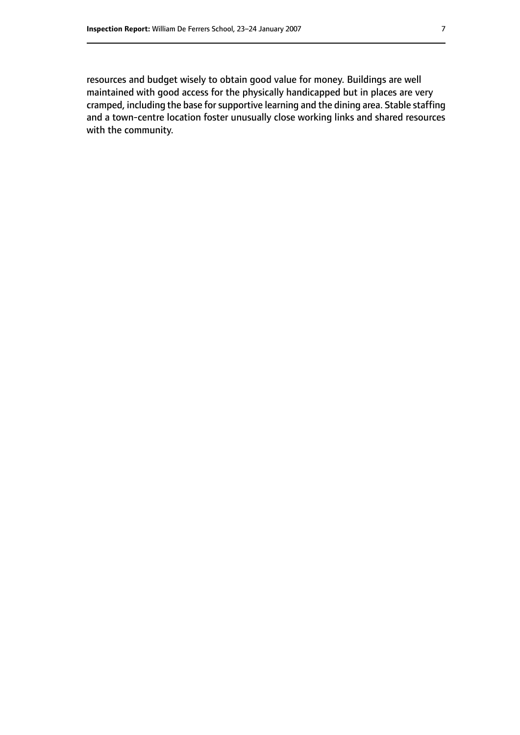resources and budget wisely to obtain good value for money. Buildings are well maintained with good access for the physically handicapped but in places are very cramped, including the base for supportive learning and the dining area. Stable staffing and a town-centre location foster unusually close working links and shared resources with the community.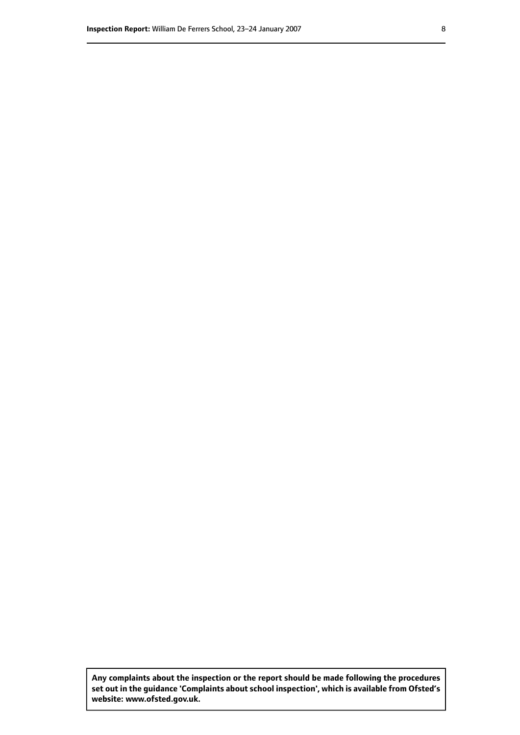**Any complaints about the inspection or the report should be made following the procedures set out inthe guidance 'Complaints about school inspection', whichis available from Ofsted's website: www.ofsted.gov.uk.**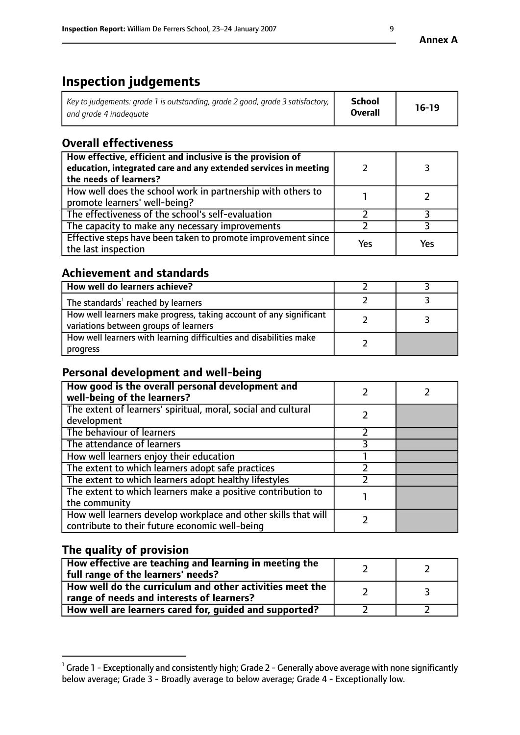# **Inspection judgements**

| Key to judgements: grade 1 is outstanding, grade 2 good, grade 3 satisfactory, $\parallel$ | <b>School</b>  | $16-19$ |
|--------------------------------------------------------------------------------------------|----------------|---------|
| and grade 4 inadeguate                                                                     | <b>Overall</b> |         |

# **Overall effectiveness**

| How effective, efficient and inclusive is the provision of<br>education, integrated care and any extended services in meeting<br>the needs of learners? |     |     |
|---------------------------------------------------------------------------------------------------------------------------------------------------------|-----|-----|
| How well does the school work in partnership with others to<br>promote learners' well-being?                                                            |     |     |
| The effectiveness of the school's self-evaluation                                                                                                       |     |     |
| The capacity to make any necessary improvements                                                                                                         |     |     |
| Effective steps have been taken to promote improvement since<br>the last inspection                                                                     | Yes | Yes |

## **Achievement and standards**

| How well do learners achieve?                                                                               |  |
|-------------------------------------------------------------------------------------------------------------|--|
| The standards <sup>1</sup> reached by learners                                                              |  |
| How well learners make progress, taking account of any significant<br>variations between groups of learners |  |
| How well learners with learning difficulties and disabilities make<br>progress                              |  |

## **Personal development and well-being**

| How good is the overall personal development and<br>well-being of the learners?                                  |  |
|------------------------------------------------------------------------------------------------------------------|--|
| The extent of learners' spiritual, moral, social and cultural<br>development                                     |  |
| The behaviour of learners                                                                                        |  |
| The attendance of learners                                                                                       |  |
| How well learners enjoy their education                                                                          |  |
| The extent to which learners adopt safe practices                                                                |  |
| The extent to which learners adopt healthy lifestyles                                                            |  |
| The extent to which learners make a positive contribution to<br>the community                                    |  |
| How well learners develop workplace and other skills that will<br>contribute to their future economic well-being |  |

## **The quality of provision**

| How effective are teaching and learning in meeting the<br>full range of the learners' needs?          |  |
|-------------------------------------------------------------------------------------------------------|--|
| How well do the curriculum and other activities meet the<br>range of needs and interests of learners? |  |
| How well are learners cared for, guided and supported?                                                |  |

 $^1$  Grade 1 - Exceptionally and consistently high; Grade 2 - Generally above average with none significantly below average; Grade 3 - Broadly average to below average; Grade 4 - Exceptionally low.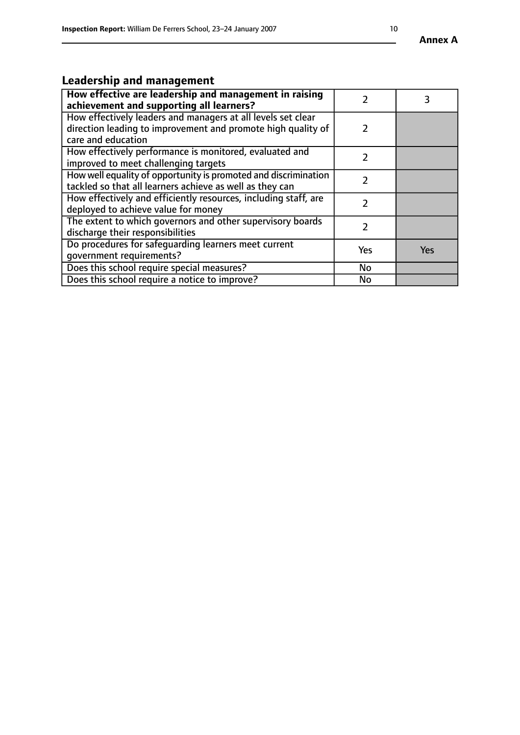# **Leadership and management**

| How effective are leadership and management in raising<br>achievement and supporting all learners?                                                 |     |            |
|----------------------------------------------------------------------------------------------------------------------------------------------------|-----|------------|
| How effectively leaders and managers at all levels set clear<br>direction leading to improvement and promote high quality of<br>care and education |     |            |
| How effectively performance is monitored, evaluated and<br>improved to meet challenging targets                                                    |     |            |
| How well equality of opportunity is promoted and discrimination<br>tackled so that all learners achieve as well as they can                        | 2   |            |
| How effectively and efficiently resources, including staff, are<br>deployed to achieve value for money                                             | 2   |            |
| The extent to which governors and other supervisory boards<br>discharge their responsibilities                                                     |     |            |
| Do procedures for safeguarding learners meet current<br>qovernment requirements?                                                                   | Yes | <b>Yes</b> |
| Does this school require special measures?                                                                                                         | No  |            |
| Does this school require a notice to improve?                                                                                                      | No  |            |